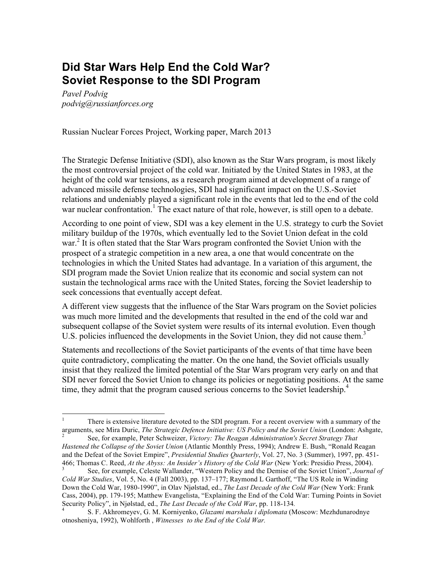# **Did Star Wars Help End the Cold War? Soviet Response to the SDI Program**

*Pavel Podvig podvig@russianforces.org*

Russian Nuclear Forces Project, Working paper, March 2013

The Strategic Defense Initiative (SDI), also known as the Star Wars program, is most likely the most controversial project of the cold war. Initiated by the United States in 1983, at the height of the cold war tensions, as a research program aimed at development of a range of advanced missile defense technologies, SDI had significant impact on the U.S.-Soviet relations and undeniably played a significant role in the events that led to the end of the cold war nuclear confrontation.<sup>1</sup> The exact nature of that role, however, is still open to a debate.

According to one point of view, SDI was a key element in the U.S. strategy to curb the Soviet military buildup of the 1970s, which eventually led to the Soviet Union defeat in the cold war.<sup>2</sup> It is often stated that the Star Wars program confronted the Soviet Union with the prospect of a strategic competition in a new area, a one that would concentrate on the technologies in which the United States had advantage. In a variation of this argument, the SDI program made the Soviet Union realize that its economic and social system can not sustain the technological arms race with the United States, forcing the Soviet leadership to seek concessions that eventually accept defeat.

A different view suggests that the influence of the Star Wars program on the Soviet policies was much more limited and the developments that resulted in the end of the cold war and subsequent collapse of the Soviet system were results of its internal evolution. Even though U.S. policies influenced the developments in the Soviet Union, they did not cause them.<sup>3</sup>

Statements and recollections of the Soviet participants of the events of that time have been quite contradictory, complicating the matter. On the one hand, the Soviet officials usually insist that they realized the limited potential of the Star Wars program very early on and that SDI never forced the Soviet Union to change its policies or negotiating positions. At the same time, they admit that the program caused serious concerns to the Soviet leadership.<sup>4</sup>

 <sup>1</sup> There is extensive literature devoted to the SDI program. For a recent overview with a summary of the arguments, see Mira Duric, *The Strategic Defence Initiative: US Policy and the Soviet Union* (London: Ashgate, <sup>2</sup> See, for example, Peter Schweizer, *Victory: The Reagan Administration's Secret Strategy That* 

*Hastened the Collapse of the Soviet Union* (Atlantic Monthly Press, 1994); Andrew E. Bush, "Ronald Reagan and the Defeat of the Soviet Empire", *Presidential Studies Quarterly*, Vol. 27, No. 3 (Summer), 1997, pp. 451- 466; Thomas C. Reed, *At the Abyss: An Insider's History of the Cold War* (New York: Presidio Press, 2004). <sup>3</sup> See, for example, Celeste Wallander, "Western Policy and the Demise of the Soviet Union", *Journal of* 

*Cold War Studies*, Vol. 5, No. 4 (Fall 2003), pp. 137–177; Raymond L Garthoff, "The US Role in Winding Down the Cold War, 1980-1990", in Olav Njølstad, ed., *The Last Decade of the Cold War* (New York: Frank Cass, 2004), pp. 179-195; Matthew Evangelista, "Explaining the End of the Cold War: Turning Points in Soviet Security Policy", in Njølstad, ed., *The Last Decade of the Cold War*, pp. 118-134*.* <sup>4</sup> S. F. Akhromeyev, G. M. Korniyenko, *Glazami marshala i diplomata* (Moscow: Mezhdunarodnye

otnosheniya, 1992), Wohlforth , *Witnesses to the End of the Cold War.*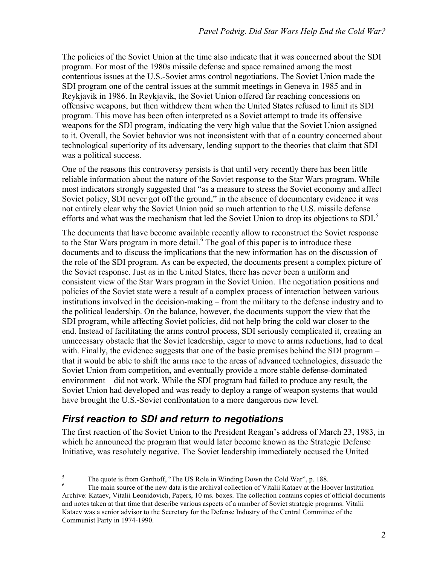The policies of the Soviet Union at the time also indicate that it was concerned about the SDI program. For most of the 1980s missile defense and space remained among the most contentious issues at the U.S.-Soviet arms control negotiations. The Soviet Union made the SDI program one of the central issues at the summit meetings in Geneva in 1985 and in Reykjavik in 1986. In Reykjavik, the Soviet Union offered far reaching concessions on offensive weapons, but then withdrew them when the United States refused to limit its SDI program. This move has been often interpreted as a Soviet attempt to trade its offensive weapons for the SDI program, indicating the very high value that the Soviet Union assigned to it. Overall, the Soviet behavior was not inconsistent with that of a country concerned about technological superiority of its adversary, lending support to the theories that claim that SDI was a political success.

One of the reasons this controversy persists is that until very recently there has been little reliable information about the nature of the Soviet response to the Star Wars program. While most indicators strongly suggested that "as a measure to stress the Soviet economy and affect Soviet policy, SDI never got off the ground," in the absence of documentary evidence it was not entirely clear why the Soviet Union paid so much attention to the U.S. missile defense efforts and what was the mechanism that led the Soviet Union to drop its objections to SDI.<sup>5</sup>

The documents that have become available recently allow to reconstruct the Soviet response to the Star Wars program in more detail.<sup>6</sup> The goal of this paper is to introduce these documents and to discuss the implications that the new information has on the discussion of the role of the SDI program. As can be expected, the documents present a complex picture of the Soviet response. Just as in the United States, there has never been a uniform and consistent view of the Star Wars program in the Soviet Union. The negotiation positions and policies of the Soviet state were a result of a complex process of interaction between various institutions involved in the decision-making – from the military to the defense industry and to the political leadership. On the balance, however, the documents support the view that the SDI program, while affecting Soviet policies, did not help bring the cold war closer to the end. Instead of facilitating the arms control process, SDI seriously complicated it, creating an unnecessary obstacle that the Soviet leadership, eager to move to arms reductions, had to deal with. Finally, the evidence suggests that one of the basic premises behind the SDI program – that it would be able to shift the arms race to the areas of advanced technologies, dissuade the Soviet Union from competition, and eventually provide a more stable defense-dominated environment – did not work. While the SDI program had failed to produce any result, the Soviet Union had developed and was ready to deploy a range of weapon systems that would have brought the U.S.-Soviet confrontation to a more dangerous new level.

## *First reaction to SDI and return to negotiations*

The first reaction of the Soviet Union to the President Reagan's address of March 23, 1983, in which he announced the program that would later become known as the Strategic Defense Initiative, was resolutely negative. The Soviet leadership immediately accused the United

<sup>&</sup>lt;sup>5</sup> The quote is from Garthoff, "The US Role in Winding Down the Cold War", p. 188.<br><sup>6</sup> The main source of the new data is the archival collection of Vitalii Kataev at the Hoover Institution Archive: Kataev, Vitalii Leonidovich, Papers, 10 ms. boxes. The collection contains copies of official documents and notes taken at that time that describe various aspects of a number of Soviet strategic programs. Vitalii Kataev was a senior advisor to the Secretary for the Defense Industry of the Central Committee of the Communist Party in 1974-1990.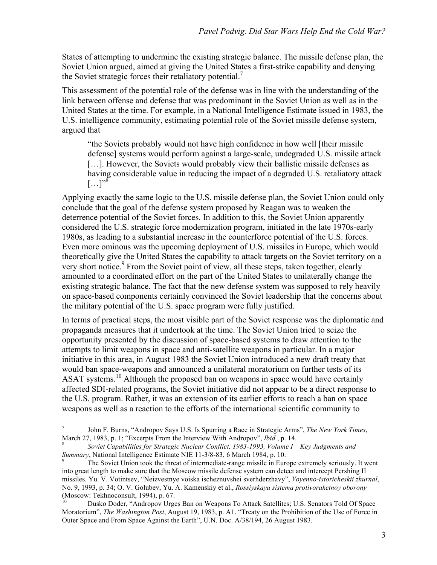States of attempting to undermine the existing strategic balance. The missile defense plan, the Soviet Union argued, aimed at giving the United States a first-strike capability and denying the Soviet strategic forces their retaliatory potential.<sup>7</sup>

This assessment of the potential role of the defense was in line with the understanding of the link between offense and defense that was predominant in the Soviet Union as well as in the United States at the time. For example, in a National Intelligence Estimate issued in 1983, the U.S. intelligence community, estimating potential role of the Soviet missile defense system, argued that

"the Soviets probably would not have high confidence in how well [their missile defense] systems would perform against a large-scale, undegraded U.S. missile attack [...]. However, the Soviets would probably view their ballistic missile defenses as having considerable value in reducing the impact of a degraded U.S. retaliatory attack  $[...]^{38}$ 

Applying exactly the same logic to the U.S. missile defense plan, the Soviet Union could only conclude that the goal of the defense system proposed by Reagan was to weaken the deterrence potential of the Soviet forces. In addition to this, the Soviet Union apparently considered the U.S. strategic force modernization program, initiated in the late 1970s-early 1980s, as leading to a substantial increase in the counterforce potential of the U.S. forces. Even more ominous was the upcoming deployment of U.S. missiles in Europe, which would theoretically give the United States the capability to attack targets on the Soviet territory on a very short notice.<sup>9</sup> From the Soviet point of view, all these steps, taken together, clearly amounted to a coordinated effort on the part of the United States to unilaterally change the existing strategic balance. The fact that the new defense system was supposed to rely heavily on space-based components certainly convinced the Soviet leadership that the concerns about the military potential of the U.S. space program were fully justified.

In terms of practical steps, the most visible part of the Soviet response was the diplomatic and propaganda measures that it undertook at the time. The Soviet Union tried to seize the opportunity presented by the discussion of space-based systems to draw attention to the attempts to limit weapons in space and anti-satellite weapons in particular. In a major initiative in this area, in August 1983 the Soviet Union introduced a new draft treaty that would ban space-weapons and announced a unilateral moratorium on further tests of its ASAT systems.<sup>10</sup> Although the proposed ban on weapons in space would have certainly affected SDI-related programs, the Soviet initiative did not appear to be a direct response to the U.S. program. Rather, it was an extension of its earlier efforts to reach a ban on space weapons as well as a reaction to the efforts of the international scientific community to

 <sup>7</sup> John F. Burns, "Andropov Says U.S. Is Spurring a Race in Strategic Arms", *The New York Times*, March 27, 1983, p. 1; "Excerpts From the Interview With Andropov", *Ibid.*, p. 14.<br><sup>8</sup> *Soviet Capabilities for Strategic Nuclear Conflict, 1983-1993, Volume I – Key Judgments and* 

*Summary*, National Intelligence Estimate NIE 11-3/8-83, 6 March 1984, p. 10.<br><sup>9</sup> The Soviet Union took the threat of intermediate-range missile in Europe extremely seriously. It went

into great length to make sure that the Moscow missile defense system can detect and intercept Pershing II missiles. Yu. V. Votintsev, "Neizvestnye voiska ischeznuvshei sverhderzhavy", *Voyenno-istoricheskii zhurnal*, No. 9, 1993, p. 34; O. V. Golubev, Yu. A. Kamenskiy et al., *Rossiyskaya sistema protivoraketnoy oborony* 

Dusko Doder, "Andropov Urges Ban on Weapons To Attack Satellites; U.S. Senators Told Of Space Moratorium", *The Washington Post*, August 19, 1983, p. A1. "Treaty on the Prohibition of the Use of Force in Outer Space and From Space Against the Earth", U.N. Doc. A/38/194, 26 August 1983.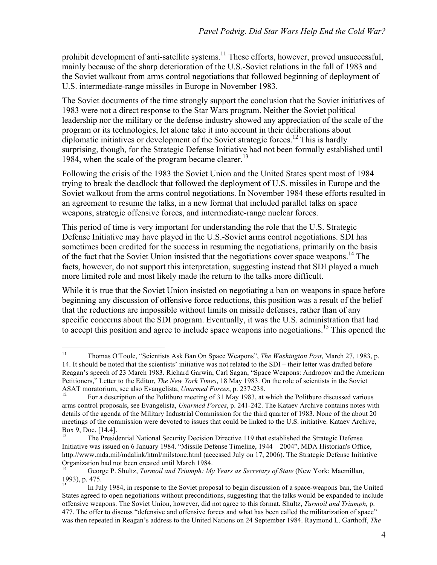prohibit development of anti-satellite systems.<sup>11</sup> These efforts, however, proved unsuccessful, mainly because of the sharp deterioration of the U.S.-Soviet relations in the fall of 1983 and the Soviet walkout from arms control negotiations that followed beginning of deployment of U.S. intermediate-range missiles in Europe in November 1983.

The Soviet documents of the time strongly support the conclusion that the Soviet initiatives of 1983 were not a direct response to the Star Wars program. Neither the Soviet political leadership nor the military or the defense industry showed any appreciation of the scale of the program or its technologies, let alone take it into account in their deliberations about diplomatic initiatives or development of the Soviet strategic forces.<sup>12</sup> This is hardly surprising, though, for the Strategic Defense Initiative had not been formally established until 1984, when the scale of the program became clearer. 13

Following the crisis of the 1983 the Soviet Union and the United States spent most of 1984 trying to break the deadlock that followed the deployment of U.S. missiles in Europe and the Soviet walkout from the arms control negotiations. In November 1984 these efforts resulted in an agreement to resume the talks, in a new format that included parallel talks on space weapons, strategic offensive forces, and intermediate-range nuclear forces.

This period of time is very important for understanding the role that the U.S. Strategic Defense Initiative may have played in the U.S.-Soviet arms control negotiations. SDI has sometimes been credited for the success in resuming the negotiations, primarily on the basis of the fact that the Soviet Union insisted that the negotiations cover space weapons.<sup>14</sup> The facts, however, do not support this interpretation, suggesting instead that SDI played a much more limited role and most likely made the return to the talks more difficult.

While it is true that the Soviet Union insisted on negotiating a ban on weapons in space before beginning any discussion of offensive force reductions, this position was a result of the belief that the reductions are impossible without limits on missile defenses, rather than of any specific concerns about the SDI program. Eventually, it was the U.S. administration that had to accept this position and agree to include space weapons into negotiations.<sup>15</sup> This opened the

 <sup>11</sup> Thomas O'Toole, "Scientists Ask Ban On Space Weapons", *The Washington Post*, March 27, 1983, p. 14. It should be noted that the scientists' initiative was not related to the SDI – their letter was drafted before Reagan's speech of 23 March 1983. Richard Garwin, Carl Sagan, "Space Weapons: Andropov and the American Petitioners," Letter to the Editor, *The New York Times*, 18 May 1983. On the role of scientists in the Soviet ASAT moratorium, see also Evangelista, *Unarmed Forces*, p. 237-238.<br><sup>12</sup> For a description of the Politburo meeting of 31 May 1983, at which the Politburo discussed various

arms control proposals, see Evangelista, *Unarmed Forces*, p. 241-242. The Kataev Archive contains notes with details of the agenda of the Military Industrial Commission for the third quarter of 1983. None of the about 20 meetings of the commission were devoted to issues that could be linked to the U.S. initiative. Kataev Archive, Box 9, Doc. [14.4].

<sup>13</sup> The Presidential National Security Decision Directive 119 that established the Strategic Defense Initiative was issued on 6 January 1984. "Missile Defense Timeline, 1944 – 2004", MDA Historian's Office, http://www.mda.mil/mdalink/html/milstone.html (accessed July on 17, 2006). The Strategic Defense Initiative Organization had not been created until March 1984.

<sup>14</sup> George P. Shultz, *Turmoil and Triumph: My Years as Secretary of State* (New York: Macmillan, 1993), p. 475.

<sup>15</sup> In July 1984, in response to the Soviet proposal to begin discussion of a space-weapons ban, the United States agreed to open negotiations without preconditions, suggesting that the talks would be expanded to include offensive weapons. The Soviet Union, however, did not agree to this format. Shultz, *Turmoil and Triumph,* p. 477. The offer to discuss "defensive and offensive forces and what has been called the militarization of space" was then repeated in Reagan's address to the United Nations on 24 September 1984. Raymond L. Garthoff, *The*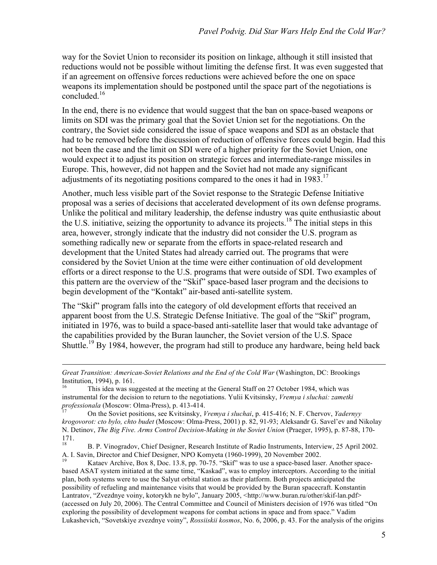way for the Soviet Union to reconsider its position on linkage, although it still insisted that reductions would not be possible without limiting the defense first. It was even suggested that if an agreement on offensive forces reductions were achieved before the one on space weapons its implementation should be postponed until the space part of the negotiations is concluded<sup>16</sup>

In the end, there is no evidence that would suggest that the ban on space-based weapons or limits on SDI was the primary goal that the Soviet Union set for the negotiations. On the contrary, the Soviet side considered the issue of space weapons and SDI as an obstacle that had to be removed before the discussion of reduction of offensive forces could begin. Had this not been the case and the limit on SDI were of a higher priority for the Soviet Union, one would expect it to adjust its position on strategic forces and intermediate-range missiles in Europe. This, however, did not happen and the Soviet had not made any significant adjustments of its negotiating positions compared to the ones it had in 1983.<sup>17</sup>

Another, much less visible part of the Soviet response to the Strategic Defense Initiative proposal was a series of decisions that accelerated development of its own defense programs. Unlike the political and military leadership, the defense industry was quite enthusiastic about the U.S. initiative, seizing the opportunity to advance its projects.18 The initial steps in this area, however, strongly indicate that the industry did not consider the U.S. program as something radically new or separate from the efforts in space-related research and development that the United States had already carried out. The programs that were considered by the Soviet Union at the time were either continuation of old development efforts or a direct response to the U.S. programs that were outside of SDI. Two examples of this pattern are the overview of the "Skif" space-based laser program and the decisions to begin development of the "Kontakt" air-based anti-satellite system.

The "Skif" program falls into the category of old development efforts that received an apparent boost from the U.S. Strategic Defense Initiative. The goal of the "Skif" program, initiated in 1976, was to build a space-based anti-satellite laser that would take advantage of the capabilities provided by the Buran launcher, the Soviet version of the U.S. Space Shuttle.19 By 1984, however, the program had still to produce any hardware, being held back

 $\overline{a}$ 

*Great Transition: American-Soviet Relations and the End of the Cold War* (Washington, DC: Brookings Institution, 1994), p. 161.<br><sup>16</sup> This idea was suggested at the meeting at the General Staff on 27 October 1984, which was

instrumental for the decision to return to the negotiations. Yulii Kvitsinsky, *Vremya i sluchai: zametki* 

*professionala* (Moscow: Olma-Press), p. 413-414. <sup>17</sup> On the Soviet positions, see Kvitsinsky, *Vremya i sluchai*, p. 415-416; N. F. Chervov, *Yadernyy krogovorot: cto bylo, chto budet* (Moscow: Olma-Press, 2001) p. 82, 91-93; Aleksandr G. Savel'ev and Nikolay N. Detinov, *The Big Five. Arms Control Decision-Making in the Soviet Union* (Praeger, 1995), p. 87-88, 170-  $\frac{171}{18}$ .

<sup>18</sup> B. P. Vinogradov, Chief Designer, Research Institute of Radio Instruments, Interview, 25 April 2002. A. I. Savin, Director and Chief Designer, NPO Komyeta (1960-1999), 20 November 2002.<br><sup>19</sup> Kataev Archive, Box 8, Doc. 13.8, pp. 70-75. "Skif" was to use a space-based laser. Another space-

based ASAT system initiated at the same time, "Kaskad", was to employ interceptors. According to the initial plan, both systems were to use the Salyut orbital station as their platform. Both projects anticipated the possibility of refueling and maintenance visits that would be provided by the Buran spacecraft. Konstantin Lantratov, "Zvezdnye voiny, kotorykh ne bylo", January 2005, <http://www.buran.ru/other/skif-lan.pdf> (accessed on July 20, 2006). The Central Committee and Council of Ministers decision of 1976 was titled "On exploring the possibility of development weapons for combat actions in space and from space." Vadim Lukashevich, "Sovetskiye zvezdnye voiny", *Rossiiskii kosmos*, No. 6, 2006, p. 43. For the analysis of the origins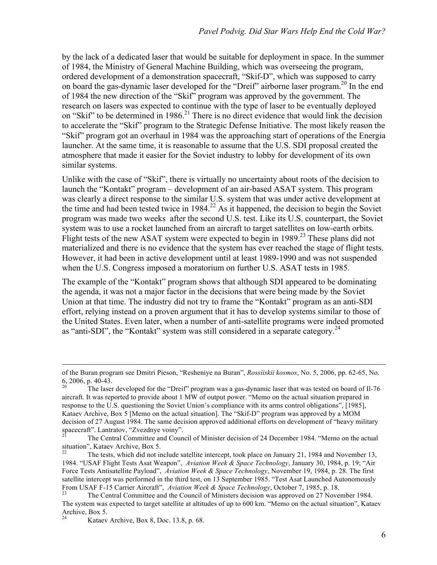by the lack of a dedicated laser that would be suitable for deployment in space. In the summer of 1984, the Ministry of General Machine Building, which was overseeing the program, ordered development of a demonstration spacecraft, "Skif-D", which was supposed to carry on board the gas-dynamic laser developed for the "Dreif" airborne laser program.<sup>20</sup> In the end of 1984 the new direction of the "Skif" program was approved by the government. The research on lasers was expected to continue with the type of laser to be eventually deployed on "Skif" to be determined in 1986.<sup>21</sup> There is no direct evidence that would link the decision to accelerate the "Skif" program to the Strategic Defense Initiative. The most likely reason the "Skif" program got an overhaul in 1984 was the approaching start of operations of the Energia launcher. At the same time, it is reasonable to assume that the U.S. SDI proposal created the atmosphere that made it easier for the Soviet industry to lobby for development of its own similar systems.

Unlike with the case of "Skif", there is virtually no uncertainty about roots of the decision to launch the "Kontakt" program – development of an air-based ASAT system. This program was clearly a direct response to the similar U.S. system that was under active development at the time and had been tested twice in  $1984<sup>22</sup>$  As it happened, the decision to begin the Soviet program was made two weeks after the second U.S. test. Like its U.S. counterpart, the Soviet system was to use a rocket launched from an aircraft to target satellites on low-earth orbits. Flight tests of the new ASAT system were expected to begin in 1989.<sup>23</sup> These plans did not materialized and there is no evidence that the system has ever reached the stage of flight tests. However, it had been in active development until at least 1989-1990 and was not suspended when the U.S. Congress imposed a moratorium on further U.S. ASAT tests in 1985.

The example of the "Kontakt" program shows that although SDI appeared to be dominating the agenda, it was not a major factor in the decisions that were being made by the Soviet Union at that time. The industry did not try to frame the "Kontakt" program as an anti-SDI effort, relying instead on a proven argument that it has to develop systems similar to those of the United States. Even later, when a number of anti-satellite programs were indeed promoted as "anti-SDI", the "Kontakt" system was still considered in a separate category.<sup>24</sup>

of the Buran program see Dmitri Pieson, "Resheniye na Buran", *Rossiiskii kosmos*, No. 5, 2006, pp. 62-65, No.

The laser developed for the "Dreif" program was a gas-dynamic laser that was tested on board of Il-76 aircraft. It was reported to provide about 1 MW of output power. "Memo on the actual situation prepared in response to the U.S. questioning the Soviet Union's compliance with its arms control obligations", [1985], Kataev Archive, Box 5 [Memo on the actual situation]. The "Skif-D" program was approved by a MOM decision of 27 August 1984. The same decision approved additional efforts on development of "heavy military spacecraft". Lantratov, "Zvezdnye voiny".

<sup>21</sup> The Central Committee and Council of Minister decision of 24 December 1984. "Memo on the actual situation", Kataev Archive, Box 5.

<sup>22</sup> The tests, which did not include satellite intercept, took place on January 21, 1984 and November 13, 1984. "USAF Flight Tests Asat Weapon", *Aviation Week & Space Technology*, January 30, 1984, p. 19; "Air Force Tests Antisatellite Payload", *Aviation Week & Space Technology*, November 19, 1984, p. 28. The first satellite intercept was performed in the third test, on 13 September 1985. "Test Asat Launched Autonomously From USAF F-15 Carrier Aircraft", *Aviation Week & Space Technology*, October 7, 1985, p. 18.<br><sup>23</sup> The Central Committee and the Council of Ministers decision was approved on 27 November 1984.

The system was expected to target satellite at altitudes of up to 600 km. "Memo on the actual situation", Kataev Archive, Box 5.

Kataev Archive, Box 8, Doc. 13.8, p. 68.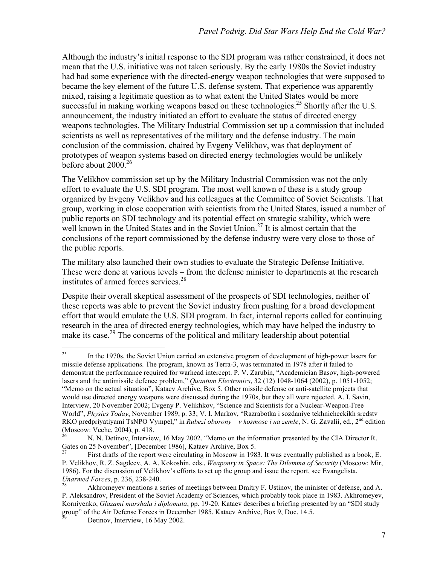Although the industry's initial response to the SDI program was rather constrained, it does not mean that the U.S. initiative was not taken seriously. By the early 1980s the Soviet industry had had some experience with the directed-energy weapon technologies that were supposed to became the key element of the future U.S. defense system. That experience was apparently mixed, raising a legitimate question as to what extent the United States would be more successful in making working weapons based on these technologies.<sup>25</sup> Shortly after the U.S. announcement, the industry initiated an effort to evaluate the status of directed energy weapons technologies. The Military Industrial Commission set up a commission that included scientists as well as representatives of the military and the defense industry. The main conclusion of the commission, chaired by Evgeny Velikhov, was that deployment of prototypes of weapon systems based on directed energy technologies would be unlikely before about  $2000^{26}$ 

The Velikhov commission set up by the Military Industrial Commission was not the only effort to evaluate the U.S. SDI program. The most well known of these is a study group organized by Evgeny Velikhov and his colleagues at the Committee of Soviet Scientists. That group, working in close cooperation with scientists from the United States, issued a number of public reports on SDI technology and its potential effect on strategic stability, which were well known in the United States and in the Soviet Union.<sup>27</sup> It is almost certain that the conclusions of the report commissioned by the defense industry were very close to those of the public reports.

The military also launched their own studies to evaluate the Strategic Defense Initiative. These were done at various levels – from the defense minister to departments at the research institutes of armed forces services.<sup>28</sup>

Despite their overall skeptical assessment of the prospects of SDI technologies, neither of these reports was able to prevent the Soviet industry from pushing for a broad development effort that would emulate the U.S. SDI program. In fact, internal reports called for continuing research in the area of directed energy technologies, which may have helped the industry to make its case.<sup>29</sup> The concerns of the political and military leadership about potential

<sup>&</sup>lt;sup>25</sup> In the 1970s, the Soviet Union carried an extensive program of development of high-power lasers for missile defense applications. The program, known as Terra-3, was terminated in 1978 after it failed to demonstrat the performance required for warhead intercept. P. V. Zarubin, "Academician Basov, high-powered lasers and the antimissile defence problem," *Quantum Electronics*, 32 (12) 1048-1064 (2002), p. 1051-1052; "Memo on the actual situation", Kataev Archive, Box 5. Other missile defense or anti-satellite projects that would use directed energy weapons were discussed during the 1970s, but they all were rejected. A. I. Savin, Interview, 20 November 2002; Evgeny P. Velikhkov, "Science and Scientists for a Nuclear-Weapon-Free World", *Physics Today*, November 1989, p. 33; V. I. Markov, "Razrabotka i sozdaniye tekhnicheckikh sredstv RKO predpriyatiyami TsNPO Vympel," in *Rubezi oborony – v kosmose i na zemle*, N. G. Zavalii, ed., 2nd edition (Moscow: Veche, 2004), p. 418.

<sup>26</sup> N. N. Detinov, Interview, 16 May 2002. "Memo on the information presented by the CIA Director R. Gates on 25 November", [December 1986], Kataev Archive, Box 5.

First drafts of the report were circulating in Moscow in 1983. It was eventually published as a book, E. P. Velikhov, R. Z. Sagdeev, A. A. Kokoshin, eds., *Weaponry in Space: The Dilemma of Security* (Moscow: Mir, 1986). For the discussion of Velikhov's efforts to set up the group and issue the report, see Evangelista, *Unarmed Forces*, p. 236, 238-240.<br><sup>28</sup> Akhromeyev mentions a series of meetings between Dmitry F. Ustinov, the minister of defense, and A.

P. Aleksandrov, President of the Soviet Academy of Sciences, which probably took place in 1983. Akhromeyev, Korniyenko, *Glazami marshala i diplomata*, pp. 19-20. Kataev describes a briefing presented by an "SDI study group" of the Air Defense Forces in December 1985. Kataev Archive, Box 9, Doc. 14.5.

Detinov, Interview, 16 May 2002.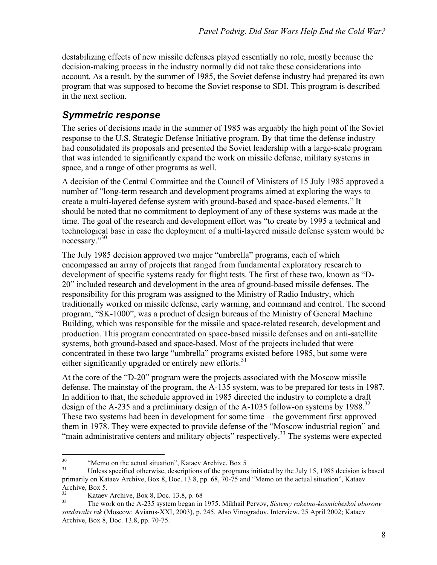destabilizing effects of new missile defenses played essentially no role, mostly because the decision-making process in the industry normally did not take these considerations into account. As a result, by the summer of 1985, the Soviet defense industry had prepared its own program that was supposed to become the Soviet response to SDI. This program is described in the next section.

## *Symmetric response*

The series of decisions made in the summer of 1985 was arguably the high point of the Soviet response to the U.S. Strategic Defense Initiative program. By that time the defense industry had consolidated its proposals and presented the Soviet leadership with a large-scale program that was intended to significantly expand the work on missile defense, military systems in space, and a range of other programs as well.

A decision of the Central Committee and the Council of Ministers of 15 July 1985 approved a number of "long-term research and development programs aimed at exploring the ways to create a multi-layered defense system with ground-based and space-based elements." It should be noted that no commitment to deployment of any of these systems was made at the time. The goal of the research and development effort was "to create by 1995 a technical and technological base in case the deployment of a multi-layered missile defense system would be necessary." 30

The July 1985 decision approved two major "umbrella" programs, each of which encompassed an array of projects that ranged from fundamental exploratory research to development of specific systems ready for flight tests. The first of these two, known as "D-20" included research and development in the area of ground-based missile defenses. The responsibility for this program was assigned to the Ministry of Radio Industry, which traditionally worked on missile defense, early warning, and command and control. The second program, "SK-1000", was a product of design bureaus of the Ministry of General Machine Building, which was responsible for the missile and space-related research, development and production. This program concentrated on space-based missile defenses and on anti-satellite systems, both ground-based and space-based. Most of the projects included that were concentrated in these two large "umbrella" programs existed before 1985, but some were either significantly upgraded or entirely new efforts.<sup>31</sup>

At the core of the "D-20" program were the projects associated with the Moscow missile defense. The mainstay of the program, the A-135 system, was to be prepared for tests in 1987. In addition to that, the schedule approved in 1985 directed the industry to complete a draft design of the A-235 and a preliminary design of the A-1035 follow-on systems by 1988.<sup>32</sup> These two systems had been in development for some time – the government first approved them in 1978. They were expected to provide defense of the "Moscow industrial region" and "main administrative centers and military objects" respectively.<sup>33</sup> The systems were expected

<sup>&</sup>lt;sup>30</sup> "Memo on the actual situation", Kataev Archive, Box 5<br><sup>31</sup> Unless specified otherwise, descriptions of the programs initiated by the July 15, 1985 decision is based primarily on Kataev Archive, Box 8, Doc. 13.8, pp. 68, 70-75 and "Memo on the actual situation", Kataev Archive, Box 5.

<sup>32</sup> Kataev Archive, Box 8, Doc. 13.8, p. 68 <sup>33</sup> The work on the A-235 system began in 1975. Mikhail Pervov, *Sistemy raketno-kosmicheskoi oborony sozdavalis tak* (Moscow: Aviarus-XXI, 2003), p. 245. Also Vinogradov, Interview, 25 April 2002; Kataev Archive, Box 8, Doc. 13.8, pp. 70-75.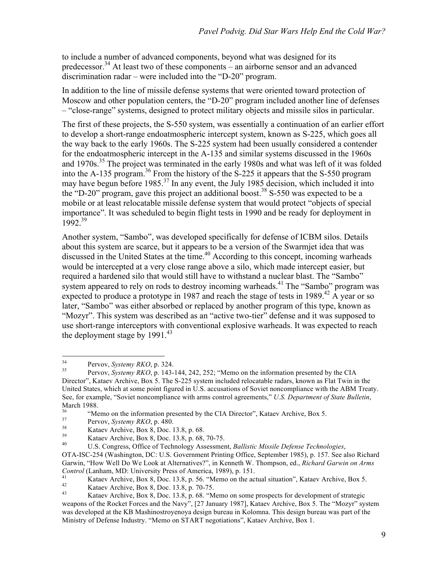to include a number of advanced components, beyond what was designed for its predecessor.<sup>34</sup> At least two of these components – an airborne sensor and an advanced discrimination radar – were included into the "D-20" program.

In addition to the line of missile defense systems that were oriented toward protection of Moscow and other population centers, the "D-20" program included another line of defenses – "close-range" systems, designed to protect military objects and missile silos in particular.

The first of these projects, the S-550 system, was essentially a continuation of an earlier effort to develop a short-range endoatmospheric intercept system, known as S-225, which goes all the way back to the early 1960s. The S-225 system had been usually considered a contender for the endoatmospheric intercept in the A-135 and similar systems discussed in the 1960s and 1970s.<sup>35</sup> The project was terminated in the early 1980s and what was left of it was folded into the A-135 program.36 From the history of the S-225 it appears that the S-550 program may have begun before 1985.<sup>37</sup> In any event, the July 1985 decision, which included it into the "D-20" program, gave this project an additional boost.<sup>38</sup> S-550 was expected to be a mobile or at least relocatable missile defense system that would protect "objects of special importance". It was scheduled to begin flight tests in 1990 and be ready for deployment in  $1992^{39}$ 

Another system, "Sambo", was developed specifically for defense of ICBM silos. Details about this system are scarce, but it appears to be a version of the Swarmjet idea that was discussed in the United States at the time.<sup>40</sup> According to this concept, incoming warheads would be intercepted at a very close range above a silo, which made intercept easier, but required a hardened silo that would still have to withstand a nuclear blast. The "Sambo" system appeared to rely on rods to destroy incoming warheads.<sup>41</sup> The "Sambo" program was expected to produce a prototype in 1987 and reach the stage of tests in 1989.<sup>42</sup> A year or so later, "Sambo" was either absorbed or replaced by another program of this type, known as "Mozyr". This system was described as an "active two-tier" defense and it was supposed to use short-range interceptors with conventional explosive warheads. It was expected to reach the deployment stage by  $1991.<sup>43</sup>$ 

<sup>&</sup>lt;sup>34</sup> Pervov, *Systemy RKO*, p. 324.<br><sup>35</sup> Pervov, *Systemy RKO*, p. 143-144, 242, 252; "Memo on the information presented by the CIA Director", Kataev Archive, Box 5. The S-225 system included relocatable radars, known as Flat Twin in the United States, which at some point figured in U.S. accusations of Soviet noncompliance with the ABM Treaty. See, for example, "Soviet noncompliance with arms control agreements," *U.S. Department of State Bulletin*, March 1988.

<sup>&</sup>lt;sup>36</sup><br>
"Memo on the information presented by the CIA Director", Kataev Archive, Box 5.<br>
Pervov, *Systemy RKO*, p. 480.<br>
Kataev Archive, Box 8, Doc. 13.8, p. 68.<br>
Kataev Archive, Box 8, Doc. 13.8, p. 68, 70-75.<br>
U.S. Congres

OTA-ISC-254 (Washington, DC: U.S. Government Printing Office, September 1985), p. 157. See also Richard Garwin, "How Well Do We Look at Alternatives?", in Kenneth W. Thompson, ed., *Richard Garwin on Arms*  Control (Lanham, MD: University Press of America, 1989), p. 151.<br>
Kataev Archive, Box 8, Doc. 13.8, p. 56. "Memo on the actual situation", Kataev Archive, Box 5.<br>
Kataev Archive, Box 8, Doc. 13.8, p. 70-75.<br>
Kataev Archive

weapons of the Rocket Forces and the Navy", [27 January 1987], Kataev Archive, Box 5. The "Mozyr" system was developed at the KB Mashinostroyenoya design bureau in Kolomna. This design bureau was part of the Ministry of Defense Industry. "Memo on START negotiations", Kataev Archive, Box 1.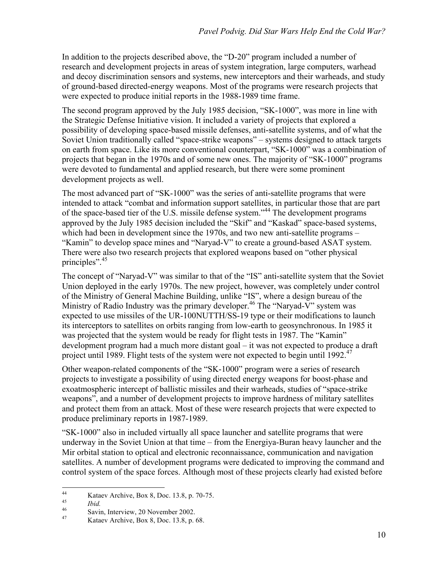In addition to the projects described above, the "D-20" program included a number of research and development projects in areas of system integration, large computers, warhead and decoy discrimination sensors and systems, new interceptors and their warheads, and study of ground-based directed-energy weapons. Most of the programs were research projects that were expected to produce initial reports in the 1988-1989 time frame.

The second program approved by the July 1985 decision, "SK-1000", was more in line with the Strategic Defense Initiative vision. It included a variety of projects that explored a possibility of developing space-based missile defenses, anti-satellite systems, and of what the Soviet Union traditionally called "space-strike weapons" – systems designed to attack targets on earth from space. Like its more conventional counterpart, "SK-1000" was a combination of projects that began in the 1970s and of some new ones. The majority of "SK-1000" programs were devoted to fundamental and applied research, but there were some prominent development projects as well.

The most advanced part of "SK-1000" was the series of anti-satellite programs that were intended to attack "combat and information support satellites, in particular those that are part of the space-based tier of the U.S. missile defense system."44 The development programs approved by the July 1985 decision included the "Skif" and "Kaskad" space-based systems, which had been in development since the 1970s, and two new anti-satellite programs – "Kamin" to develop space mines and "Naryad-V" to create a ground-based ASAT system. There were also two research projects that explored weapons based on "other physical principles".<sup>45</sup>

The concept of "Naryad-V" was similar to that of the "IS" anti-satellite system that the Soviet Union deployed in the early 1970s. The new project, however, was completely under control of the Ministry of General Machine Building, unlike "IS", where a design bureau of the Ministry of Radio Industry was the primary developer.<sup>46</sup> The "Naryad-V" system was expected to use missiles of the UR-100NUTTH/SS-19 type or their modifications to launch its interceptors to satellites on orbits ranging from low-earth to geosynchronous. In 1985 it was projected that the system would be ready for flight tests in 1987. The "Kamin" development program had a much more distant goal – it was not expected to produce a draft project until 1989. Flight tests of the system were not expected to begin until 1992. $47$ 

Other weapon-related components of the "SK-1000" program were a series of research projects to investigate a possibility of using directed energy weapons for boost-phase and exoatmospheric intercept of ballistic missiles and their warheads, studies of "space-strike weapons", and a number of development projects to improve hardness of military satellites and protect them from an attack. Most of these were research projects that were expected to produce preliminary reports in 1987-1989.

"SK-1000" also in included virtually all space launcher and satellite programs that were underway in the Soviet Union at that time – from the Energiya-Buran heavy launcher and the Mir orbital station to optical and electronic reconnaissance, communication and navigation satellites. A number of development programs were dedicated to improving the command and control system of the space forces. Although most of these projects clearly had existed before

<sup>44</sup> Kataev Archive, Box 8, Doc. 13.8, p. 70-75.<br>
45 *Ibid.* Savin, Interview, 20 November 2002.<br>
47 Kataev Archive, Box 8, Doc. 13.8, p. 68.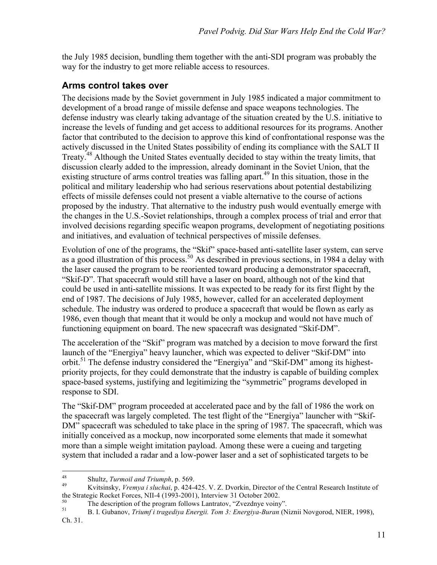the July 1985 decision, bundling them together with the anti-SDI program was probably the way for the industry to get more reliable access to resources.

#### **Arms control takes over**

The decisions made by the Soviet government in July 1985 indicated a major commitment to development of a broad range of missile defense and space weapons technologies. The defense industry was clearly taking advantage of the situation created by the U.S. initiative to increase the levels of funding and get access to additional resources for its programs. Another factor that contributed to the decision to approve this kind of confrontational response was the actively discussed in the United States possibility of ending its compliance with the SALT II Treaty.<sup>48</sup> Although the United States eventually decided to stay within the treaty limits, that discussion clearly added to the impression, already dominant in the Soviet Union, that the existing structure of arms control treaties was falling apart.<sup>49</sup> In this situation, those in the political and military leadership who had serious reservations about potential destabilizing effects of missile defenses could not present a viable alternative to the course of actions proposed by the industry. That alternative to the industry push would eventually emerge with the changes in the U.S.-Soviet relationships, through a complex process of trial and error that involved decisions regarding specific weapon programs, development of negotiating positions and initiatives, and evaluation of technical perspectives of missile defenses.

Evolution of one of the programs, the "Skif" space-based anti-satellite laser system, can serve as a good illustration of this process.<sup>50</sup> As described in previous sections, in 1984 a delay with the laser caused the program to be reoriented toward producing a demonstrator spacecraft, "Skif-D". That spacecraft would still have a laser on board, although not of the kind that could be used in anti-satellite missions. It was expected to be ready for its first flight by the end of 1987. The decisions of July 1985, however, called for an accelerated deployment schedule. The industry was ordered to produce a spacecraft that would be flown as early as 1986, even though that meant that it would be only a mockup and would not have much of functioning equipment on board. The new spacecraft was designated "Skif-DM".

The acceleration of the "Skif" program was matched by a decision to move forward the first launch of the "Energiya" heavy launcher, which was expected to deliver "Skif-DM" into orbit.<sup>51</sup> The defense industry considered the "Energiya" and "Skif-DM" among its highestpriority projects, for they could demonstrate that the industry is capable of building complex space-based systems, justifying and legitimizing the "symmetric" programs developed in response to SDI.

The "Skif-DM" program proceeded at accelerated pace and by the fall of 1986 the work on the spacecraft was largely completed. The test flight of the "Energiya" launcher with "Skif-DM" spacecraft was scheduled to take place in the spring of 1987. The spacecraft, which was initially conceived as a mockup, now incorporated some elements that made it somewhat more than a simple weight imitation payload. Among these were a cueing and targeting system that included a radar and a low-power laser and a set of sophisticated targets to be

<sup>48</sup> Shultz, *Turmoil and Triumph*, p. 569. <sup>49</sup> Kvitsinsky, *Vremya i sluchai*, p. 424-425. V. Z. Dvorkin, Director of the Central Research Institute of the Strategic Rocket Forces, NII-4 (1993-2001), Interview 31 October 2002.<br>
The description of the program follows Lantratov, "Zvezdnye voiny".<br>
B. I. Gubanov, *Triumf i tragediva Energii. Tom 3: Energiva-Buran* (Niznii No

Ch. 31.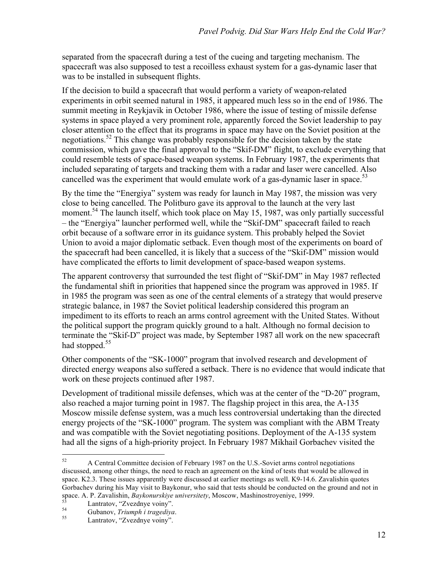separated from the spacecraft during a test of the cueing and targeting mechanism. The spacecraft was also supposed to test a recoilless exhaust system for a gas-dynamic laser that was to be installed in subsequent flights.

If the decision to build a spacecraft that would perform a variety of weapon-related experiments in orbit seemed natural in 1985, it appeared much less so in the end of 1986. The summit meeting in Reykjavik in October 1986, where the issue of testing of missile defense systems in space played a very prominent role, apparently forced the Soviet leadership to pay closer attention to the effect that its programs in space may have on the Soviet position at the negotiations.<sup>52</sup> This change was probably responsible for the decision taken by the state commission, which gave the final approval to the "Skif-DM" flight, to exclude everything that could resemble tests of space-based weapon systems. In February 1987, the experiments that included separating of targets and tracking them with a radar and laser were cancelled. Also cancelled was the experiment that would emulate work of a gas-dynamic laser in space.<sup>53</sup>

By the time the "Energiya" system was ready for launch in May 1987, the mission was very close to being cancelled. The Politburo gave its approval to the launch at the very last moment.<sup>54</sup> The launch itself, which took place on May 15, 1987, was only partially successful – the "Energiya" launcher performed well, while the "Skif-DM" spacecraft failed to reach orbit because of a software error in its guidance system. This probably helped the Soviet Union to avoid a major diplomatic setback. Even though most of the experiments on board of the spacecraft had been cancelled, it is likely that a success of the "Skif-DM" mission would have complicated the efforts to limit development of space-based weapon systems.

The apparent controversy that surrounded the test flight of "Skif-DM" in May 1987 reflected the fundamental shift in priorities that happened since the program was approved in 1985. If in 1985 the program was seen as one of the central elements of a strategy that would preserve strategic balance, in 1987 the Soviet political leadership considered this program an impediment to its efforts to reach an arms control agreement with the United States. Without the political support the program quickly ground to a halt. Although no formal decision to terminate the "Skif-D" project was made, by September 1987 all work on the new spacecraft had stopped.<sup>55</sup>

Other components of the "SK-1000" program that involved research and development of directed energy weapons also suffered a setback. There is no evidence that would indicate that work on these projects continued after 1987.

Development of traditional missile defenses, which was at the center of the "D-20" program, also reached a major turning point in 1987. The flagship project in this area, the A-135 Moscow missile defense system, was a much less controversial undertaking than the directed energy projects of the "SK-1000" program. The system was compliant with the ABM Treaty and was compatible with the Soviet negotiating positions. Deployment of the A-135 system had all the signs of a high-priority project. In February 1987 Mikhail Gorbachev visited the

 $52$  A Central Committee decision of February 1987 on the U.S.-Soviet arms control negotiations discussed, among other things, the need to reach an agreement on the kind of tests that would be allowed in space. K2.3. These issues apparently were discussed at earlier meetings as well. K9-14.6. Zavalishin quotes Gorbachev during his May visit to Baykonur, who said that tests should be conducted on the ground and not in space. A. P. Zavalishin, *Baykonurskiye universitety*, Moscow, Mashinostroyeniye, 1999.<br>
<sup>53</sup> Lantratov, "Zvezdnye voiny".<br>
<sup>55</sup> Lantratov, "Zvezdnye voiny".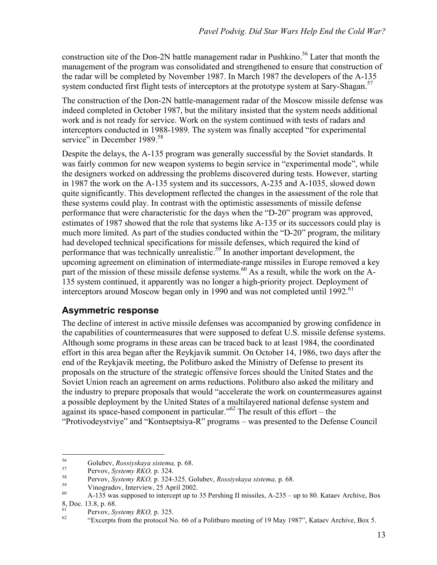construction site of the Don-2N battle management radar in Pushkino.<sup>56</sup> Later that month the management of the program was consolidated and strengthened to ensure that construction of the radar will be completed by November 1987. In March 1987 the developers of the A-135 system conducted first flight tests of interceptors at the prototype system at Sary-Shagan.<sup>57</sup>

The construction of the Don-2N battle-management radar of the Moscow missile defense was indeed completed in October 1987, but the military insisted that the system needs additional work and is not ready for service. Work on the system continued with tests of radars and interceptors conducted in 1988-1989. The system was finally accepted "for experimental service" in December 1989.<sup>58</sup>

Despite the delays, the A-135 program was generally successful by the Soviet standards. It was fairly common for new weapon systems to begin service in "experimental mode", while the designers worked on addressing the problems discovered during tests. However, starting in 1987 the work on the A-135 system and its successors, A-235 and A-1035, slowed down quite significantly. This development reflected the changes in the assessment of the role that these systems could play. In contrast with the optimistic assessments of missile defense performance that were characteristic for the days when the "D-20" program was approved, estimates of 1987 showed that the role that systems like A-135 or its successors could play is much more limited. As part of the studies conducted within the "D-20" program, the military had developed technical specifications for missile defenses, which required the kind of performance that was technically unrealistic.<sup>59</sup> In another important development, the upcoming agreement on elimination of intermediate-range missiles in Europe removed a key part of the mission of these missile defense systems.<sup>60</sup> As a result, while the work on the A-135 system continued, it apparently was no longer a high-priority project. Deployment of interceptors around Moscow began only in 1990 and was not completed until 1992.<sup>61</sup>

#### **Asymmetric response**

The decline of interest in active missile defenses was accompanied by growing confidence in the capabilities of countermeasures that were supposed to defeat U.S. missile defense systems. Although some programs in these areas can be traced back to at least 1984, the coordinated effort in this area began after the Reykjavik summit. On October 14, 1986, two days after the end of the Reykjavik meeting, the Politburo asked the Ministry of Defense to present its proposals on the structure of the strategic offensive forces should the United States and the Soviet Union reach an agreement on arms reductions. Politburo also asked the military and the industry to prepare proposals that would "accelerate the work on countermeasures against a possible deployment by the United States of a multilayered national defense system and against its space-based component in particular."<sup>62</sup> The result of this effort – the "Protivodeystviye" and "Kontseptsiya-R" programs – was presented to the Defense Council

<sup>&</sup>lt;sup>56</sup><br>
Golubev, *Rossiyskaya sistema*, p. 68.<br>
Pervov, *Systemy RKO*, p. 324.<br>
<sup>58</sup><br>
Pervov, *Systemy RKO*, p. 324-325. Golubev, *Rossiyskaya sistema*, p. 68.<br>
Vinogradov, Interview, 25 April 2002.<br>
<sup>60</sup><br>
<sup>60</sup><br>
A-135 was su 8, Doc. 13.8, p. 68.

<sup>&</sup>lt;sup>61</sup> Pervov, *Systemy RKO*, p. 325.<br><sup>62</sup> "Excerpts from the protocol No. 66 of a Politburo meeting of 19 May 1987", Kataev Archive, Box 5.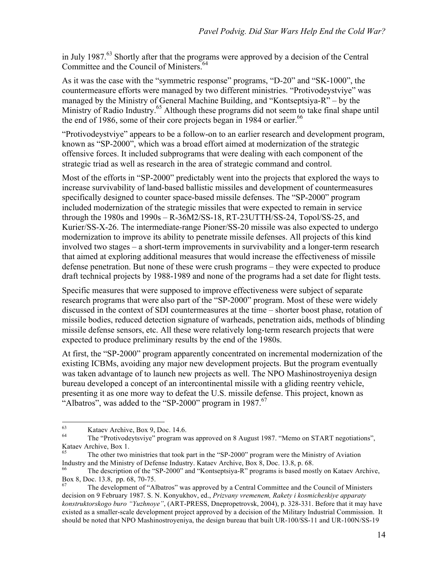in July 1987. $^{63}$  Shortly after that the programs were approved by a decision of the Central Committee and the Council of Ministers.<sup>64</sup>

As it was the case with the "symmetric response" programs, "D-20" and "SK-1000", the countermeasure efforts were managed by two different ministries. "Protivodeystviye" was managed by the Ministry of General Machine Building, and "Kontseptsiya-R" – by the Ministry of Radio Industry.<sup>65</sup> Although these programs did not seem to take final shape until the end of 1986, some of their core projects began in 1984 or earlier.<sup>66</sup>

"Protivodeystviye" appears to be a follow-on to an earlier research and development program, known as "SP-2000", which was a broad effort aimed at modernization of the strategic offensive forces. It included subprograms that were dealing with each component of the strategic triad as well as research in the area of strategic command and control.

Most of the efforts in "SP-2000" predictably went into the projects that explored the ways to increase survivability of land-based ballistic missiles and development of countermeasures specifically designed to counter space-based missile defenses. The "SP-2000" program included modernization of the strategic missiles that were expected to remain in service through the 1980s and 1990s – R-36M2/SS-18, RT-23UTTH/SS-24, Topol/SS-25, and Kurier/SS-X-26. The intermediate-range Pioner/SS-20 missile was also expected to undergo modernization to improve its ability to penetrate missile defenses. All projects of this kind involved two stages – a short-term improvements in survivability and a longer-term research that aimed at exploring additional measures that would increase the effectiveness of missile defense penetration. But none of these were crush programs – they were expected to produce draft technical projects by 1988-1989 and none of the programs had a set date for flight tests.

Specific measures that were supposed to improve effectiveness were subject of separate research programs that were also part of the "SP-2000" program. Most of these were widely discussed in the context of SDI countermeasures at the time – shorter boost phase, rotation of missile bodies, reduced detection signature of warheads, penetration aids, methods of blinding missile defense sensors, etc. All these were relatively long-term research projects that were expected to produce preliminary results by the end of the 1980s.

At first, the "SP-2000" program apparently concentrated on incremental modernization of the existing ICBMs, avoiding any major new development projects. But the program eventually was taken advantage of to launch new projects as well. The NPO Mashinostroyeniya design bureau developed a concept of an intercontinental missile with a gliding reentry vehicle, presenting it as one more way to defeat the U.S. missile defense. This project, known as "Albatros", was added to the "SP-2000" program in 1987. $67$ 

<sup>63</sup> Kataev Archive, Box 9, Doc. 14.6. <sup>64</sup> The "Protivodeytsviye" program was approved on 8 August 1987. "Memo on START negotiations", Kataev Archive, Box 1.<br><sup>65</sup> The other two ministries that took part in the "SP-2000" program were the Ministry of Aviation

Industry and the Ministry of Defense Industry. Kataev Archive, Box 8, Doc. 13.8, p. 68.

The description of the "SP-2000" and "Kontseptsiya-R" programs is based mostly on Kataev Archive, Box 8, Doc. 13.8, pp. 68, 70-75.<br><sup>67</sup> The development of "Albatros" was approved by a Central Committee and the Council of Ministers

decision on 9 February 1987. S. N. Konyukhov, ed., *Prizvany vremenem, Rakety i kosmicheskiye apparaty konstruktorskogo buro "Yuzhnoye"*, (ART-PRESS, Dnepropetrovsk, 2004), p. 328-331. Before that it may have existed as a smaller-scale development project approved by a decision of the Military Industrial Commission. It should be noted that NPO Mashinostroyeniya, the design bureau that built UR-100/SS-11 and UR-100N/SS-19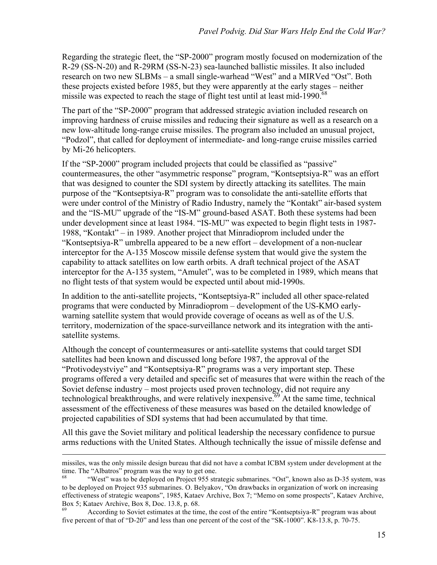Regarding the strategic fleet, the "SP-2000" program mostly focused on modernization of the R-29 (SS-N-20) and R-29RM (SS-N-23) sea-launched ballistic missiles. It also included research on two new SLBMs – a small single-warhead "West" and a MIRVed "Ost". Both these projects existed before 1985, but they were apparently at the early stages – neither missile was expected to reach the stage of flight test until at least mid-1990. $68$ 

The part of the "SP-2000" program that addressed strategic aviation included research on improving hardness of cruise missiles and reducing their signature as well as a research on a new low-altitude long-range cruise missiles. The program also included an unusual project, "Podzol", that called for deployment of intermediate- and long-range cruise missiles carried by Mi-26 helicopters.

If the "SP-2000" program included projects that could be classified as "passive" countermeasures, the other "asymmetric response" program, "Kontseptsiya-R" was an effort that was designed to counter the SDI system by directly attacking its satellites. The main purpose of the "Kontseptsiya-R" program was to consolidate the anti-satellite efforts that were under control of the Ministry of Radio Industry, namely the "Kontakt" air-based system and the "IS-MU" upgrade of the "IS-M" ground-based ASAT. Both these systems had been under development since at least 1984. "IS-MU" was expected to begin flight tests in 1987- 1988, "Kontakt" – in 1989. Another project that Minradioprom included under the "Kontseptsiya-R" umbrella appeared to be a new effort – development of a non-nuclear interceptor for the A-135 Moscow missile defense system that would give the system the capability to attack satellites on low earth orbits. A draft technical project of the ASAT interceptor for the A-135 system, "Amulet", was to be completed in 1989, which means that no flight tests of that system would be expected until about mid-1990s.

In addition to the anti-satellite projects, "Kontseptsiya-R" included all other space-related programs that were conducted by Minradioprom – development of the US-KMO earlywarning satellite system that would provide coverage of oceans as well as of the U.S. territory, modernization of the space-surveillance network and its integration with the antisatellite systems.

Although the concept of countermeasures or anti-satellite systems that could target SDI satellites had been known and discussed long before 1987, the approval of the "Protivodeystviye" and "Kontseptsiya-R" programs was a very important step. These programs offered a very detailed and specific set of measures that were within the reach of the Soviet defense industry – most projects used proven technology, did not require any technological breakthroughs, and were relatively inexpensive.<sup>69</sup> At the same time, technical assessment of the effectiveness of these measures was based on the detailed knowledge of projected capabilities of SDI systems that had been accumulated by that time.

All this gave the Soviet military and political leadership the necessary confidence to pursue arms reductions with the United States. Although technically the issue of missile defense and

 $\overline{a}$ 

<sup>69</sup> According to Soviet estimates at the time, the cost of the entire "Kontseptsiya-R" program was about five percent of that of "D-20" and less than one percent of the cost of the "SK-1000". K8-13.8, p. 70-75.

missiles, was the only missile design bureau that did not have a combat ICBM system under development at the time. The "Albatros" program was the way to get one.

<sup>&</sup>quot;West" was to be deployed on Project 955 strategic submarines. "Ost", known also as D-35 system, was to be deployed on Project 935 submarines. O. Belyakov, "On drawbacks in organization of work on increasing effectiveness of strategic weapons", 1985, Kataev Archive, Box 7; "Memo on some prospects", Kataev Archive, Box 5; Kataev Archive, Box 8, Doc. 13.8, p. 68.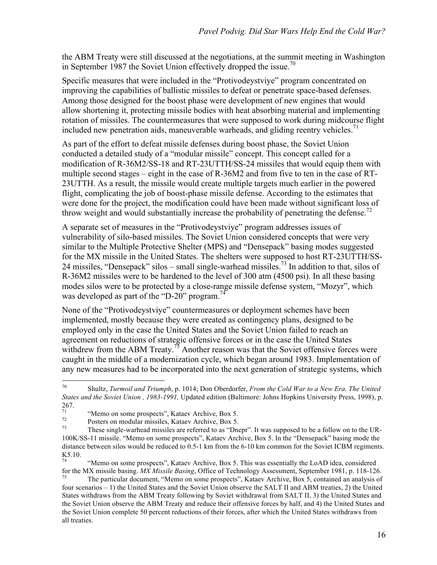the ABM Treaty were still discussed at the negotiations, at the summit meeting in Washington in September 1987 the Soviet Union effectively dropped the issue.<sup>70</sup>

Specific measures that were included in the "Protivodeystviye" program concentrated on improving the capabilities of ballistic missiles to defeat or penetrate space-based defenses. Among those designed for the boost phase were development of new engines that would allow shortening it, protecting missile bodies with heat absorbing material and implementing rotation of missiles. The countermeasures that were supposed to work during midcourse flight included new penetration aids, maneuverable warheads, and gliding reentry vehicles.<sup>71</sup>

As part of the effort to defeat missile defenses during boost phase, the Soviet Union conducted a detailed study of a "modular missile" concept. This concept called for a modification of R-36M2/SS-18 and RT-23UTTH/SS-24 missiles that would equip them with multiple second stages – eight in the case of R-36M2 and from five to ten in the case of RT-23UTTH. As a result, the missile would create multiple targets much earlier in the powered flight, complicating the job of boost-phase missile defense. According to the estimates that were done for the project, the modification could have been made without significant loss of throw weight and would substantially increase the probability of penetrating the defense.<sup>72</sup>

A separate set of measures in the "Protivodeystviye" program addresses issues of vulnerability of silo-based missiles. The Soviet Union considered concepts that were very similar to the Multiple Protective Shelter (MPS) and "Densepack" basing modes suggested for the MX missile in the United States. The shelters were supposed to host RT-23UTTH/SS-24 missiles, "Densepack" silos – small single-warhead missiles.<sup>73</sup> In addition to that, silos of R-36M2 missiles were to be hardened to the level of 300 atm (4500 psi). In all these basing modes silos were to be protected by a close-range missile defense system, "Mozyr", which was developed as part of the "D-20" program.<sup>74</sup>

None of the "Protivodeystviye" countermeasures or deployment schemes have been implemented, mostly because they were created as contingency plans, designed to be employed only in the case the United States and the Soviet Union failed to reach an agreement on reductions of strategic offensive forces or in the case the United States withdrew from the ABM Treaty.<sup>75</sup> Another reason was that the Soviet offensive forces were caught in the middle of a modernization cycle, which began around 1983. Implementation of any new measures had to be incorporated into the next generation of strategic systems, which

 <sup>70</sup> Shultz, *Turmoil and Triumph*, p. 1014; Don Oberdorfer, *From the Cold War to a New Era. The United States and the Soviet Union , 1983-1991,* Updated edition (Baltimore: Johns Hopkins University Press, 1998), p.  $^{267.}_{71}$ 

<sup>&</sup>lt;sup>71</sup> "Wemo on some prospects", Kataev Archive, Box 5.<br><sup>72</sup> Posters on modular missiles, Kataev Archive, Box 5.<br><sup>73</sup> These single-warhead missiles are referred to as "Dnepr". It was supposed to be a follow on to the UR-100K/SS-11 missile. "Memo on some prospects", Kataev Archive, Box 5. In the "Densepack" basing mode the distance between silos would be reduced to 0.5-1 km from the 6-10 km common for the Soviet ICBM regiments.  $K_{74}$ 5.10.

<sup>74</sup> "Memo on some prospects", Kataev Archive, Box 5. This was essentially the LoAD idea, considered for the MX missile basing. *MX Missile Basing*, Office of Technology Assessment, September 1981, p. 118-126. <sup>75</sup> The particular document, "Memo on some prospects", Kataev Archive, Box 5, contained an analysis of

four scenarios – 1) the United States and the Soviet Union observe the SALT II and ABM treaties, 2) the United States withdraws from the ABM Treaty following by Soviet withdrawal from SALT II, 3) the United States and the Soviet Union observe the ABM Treaty and reduce their offensive forces by half, and 4) the United States and the Soviet Union complete 50 percent reductions of their forces, after which the United States withdraws from all treaties.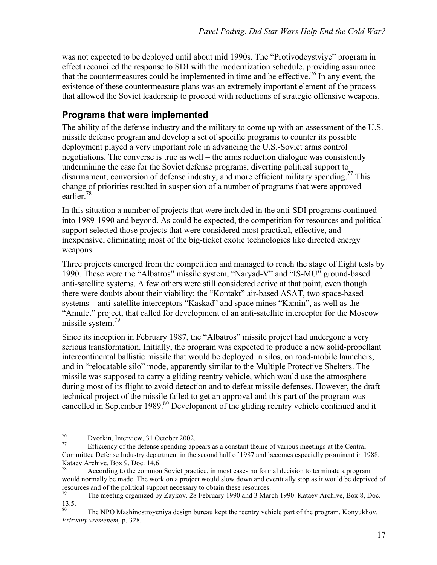was not expected to be deployed until about mid 1990s. The "Protivodeystviye" program in effect reconciled the response to SDI with the modernization schedule, providing assurance that the countermeasures could be implemented in time and be effective.<sup>76</sup> In any event, the existence of these countermeasure plans was an extremely important element of the process that allowed the Soviet leadership to proceed with reductions of strategic offensive weapons.

## **Programs that were implemented**

The ability of the defense industry and the military to come up with an assessment of the U.S. missile defense program and develop a set of specific programs to counter its possible deployment played a very important role in advancing the U.S.-Soviet arms control negotiations. The converse is true as well – the arms reduction dialogue was consistently undermining the case for the Soviet defense programs, diverting political support to disarmament, conversion of defense industry, and more efficient military spending.<sup>77</sup> This change of priorities resulted in suspension of a number of programs that were approved earlier<sup>78</sup>

In this situation a number of projects that were included in the anti-SDI programs continued into 1989-1990 and beyond. As could be expected, the competition for resources and political support selected those projects that were considered most practical, effective, and inexpensive, eliminating most of the big-ticket exotic technologies like directed energy weapons.

Three projects emerged from the competition and managed to reach the stage of flight tests by 1990. These were the "Albatros" missile system, "Naryad-V" and "IS-MU" ground-based anti-satellite systems. A few others were still considered active at that point, even though there were doubts about their viability: the "Kontakt" air-based ASAT, two space-based systems – anti-satellite interceptors "Kaskad" and space mines "Kamin", as well as the "Amulet" project, that called for development of an anti-satellite interceptor for the Moscow missile system.<sup>79</sup>

Since its inception in February 1987, the "Albatros" missile project had undergone a very serious transformation. Initially, the program was expected to produce a new solid-propellant intercontinental ballistic missile that would be deployed in silos, on road-mobile launchers, and in "relocatable silo" mode, apparently similar to the Multiple Protective Shelters. The missile was supposed to carry a gliding reentry vehicle, which would use the atmosphere during most of its flight to avoid detection and to defeat missile defenses. However, the draft technical project of the missile failed to get an approval and this part of the program was cancelled in September 1989.<sup>80</sup> Development of the gliding reentry vehicle continued and it

<sup>76</sup> Dvorkin, Interview, 31 October 2002. 77 Efficiency of the defense spending appears as a constant theme of various meetings at the Central Committee Defense Industry department in the second half of 1987 and becomes especially prominent in 1988. Kataev Archive, Box 9, Doc. 14.6.

According to the common Soviet practice, in most cases no formal decision to terminate a program would normally be made. The work on a project would slow down and eventually stop as it would be deprived of resources and of the political support necessary to obtain these resources.

<sup>79</sup> The meeting organized by Zaykov. 28 February 1990 and 3 March 1990. Kataev Archive, Box 8, Doc.  $\frac{13.5}{80}$ .

The NPO Mashinostroyeniya design bureau kept the reentry vehicle part of the program. Konyukhov, *Prizvany vremenem,* p. 328.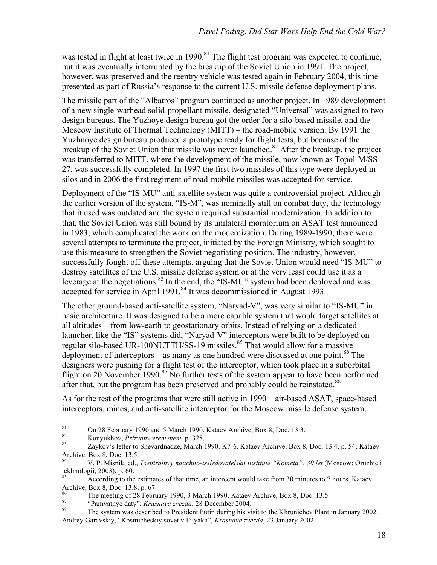was tested in flight at least twice in 1990.<sup>81</sup> The flight test program was expected to continue, but it was eventually interrupted by the breakup of the Soviet Union in 1991. The project, however, was preserved and the reentry vehicle was tested again in February 2004, this time presented as part of Russia's response to the current U.S. missile defense deployment plans.

The missile part of the "Albatros" program continued as another project. In 1989 development of a new single-warhead solid-propellant missile, designated "Universal" was assigned to two design bureaus. The Yuzhoye design bureau got the order for a silo-based missile, and the Moscow Institute of Thermal Technology (MITT) – the road-mobile version. By 1991 the Yuzhnoye design bureau produced a prototype ready for flight tests, but because of the breakup of the Soviet Union that missile was never launched.<sup>82</sup> After the breakup, the project was transferred to MITT, where the development of the missile, now known as Topol-M/SS-27, was successfully completed. In 1997 the first two missiles of this type were deployed in silos and in 2006 the first regiment of road-mobile missiles was accepted for service.

Deployment of the "IS-MU" anti-satellite system was quite a controversial project. Although the earlier version of the system, "IS-M", was nominally still on combat duty, the technology that it used was outdated and the system required substantial modernization. In addition to that, the Soviet Union was still bound by its unilateral moratorium on ASAT test announced in 1983, which complicated the work on the modernization. During 1989-1990, there were several attempts to terminate the project, initiated by the Foreign Ministry, which sought to use this measure to strengthen the Soviet negotiating position. The industry, however, successfully fought off these attempts, arguing that the Soviet Union would need "IS-MU" to destroy satellites of the U.S. missile defense system or at the very least could use it as a leverage at the negotiations.<sup>83</sup> In the end, the "IS-MU" system had been deployed and was accepted for service in April 1991.<sup>84</sup> It was decommissioned in August 1993.

The other ground-based anti-satellite system, "Naryad-V", was very similar to "IS-MU" in basic architecture. It was designed to be a more capable system that would target satellites at all altitudes – from low-earth to geostationary orbits. Instead of relying on a dedicated launcher, like the "IS" systems did, "Naryad-V" interceptors were built to be deployed on regular silo-based UR-100NUTTH/SS-19 missiles.<sup>85</sup> That would allow for a massive deployment of interceptors – as many as one hundred were discussed at one point.<sup>86</sup> The designers were pushing for a flight test of the interceptor, which took place in a suborbital flight on 20 November 1990.<sup>87</sup> No further tests of the system appear to have been performed after that, but the program has been preserved and probably could be reinstated.<sup>88</sup>

As for the rest of the programs that were still active in 1990 – air-based ASAT, space-based interceptors, mines, and anti-satellite interceptor for the Moscow missile defense system,

<sup>81</sup> On 28 February 1990 and 5 March 1990. Kataev Archive, Box 8, Doc. 13.3.<br>
82 Konyukhov, *Prizvany vremenem*, p. 328.<br>
83 Zaykov's letter to Shevardnadze, March 1990. K7-6. Kataev Archive, Box 8, Doc. 13.4, p. 54; Kataev Archive, Box 8, Doc. 13.5.

<sup>84</sup> V. P. Misnik, ed., *Tsentralnyy nauchno-issledovatelskii institute "Kometa": 30 let* (Moscow: Oruzhie i tekhnologii, 2003), p. 60.

<sup>85</sup> According to the estimates of that time, an intercept would take from 30 minutes to 7 hours. Kataev Archive, Box 8, Doc. 13.8, p. 67.

<sup>&</sup>lt;sup>86</sup><br>The meeting of 28 February 1990, 3 March 1990. Kataev Archive, Box 8, Doc. 13.5<br>"Pamyatnye daty", *Krasnaya zvezda*, 28 December 2004.<br>The system was described to President Putin during his visit to the Khrunichev Pla Andrey Garavskiy, "Kosmicheskiy sovet v Filyakh", *Krasnaya zvezda*, 23 January 2002.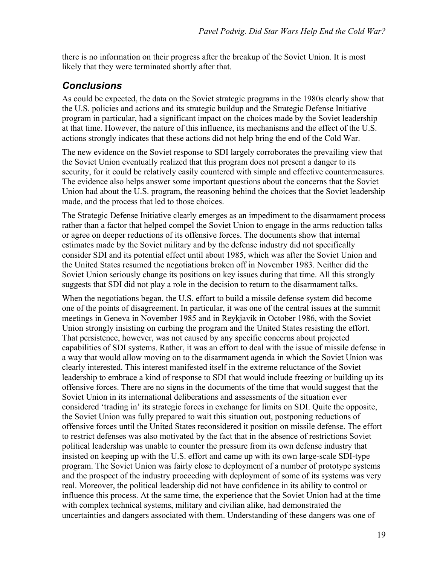there is no information on their progress after the breakup of the Soviet Union. It is most likely that they were terminated shortly after that.

## *Conclusions*

As could be expected, the data on the Soviet strategic programs in the 1980s clearly show that the U.S. policies and actions and its strategic buildup and the Strategic Defense Initiative program in particular, had a significant impact on the choices made by the Soviet leadership at that time. However, the nature of this influence, its mechanisms and the effect of the U.S. actions strongly indicates that these actions did not help bring the end of the Cold War.

The new evidence on the Soviet response to SDI largely corroborates the prevailing view that the Soviet Union eventually realized that this program does not present a danger to its security, for it could be relatively easily countered with simple and effective countermeasures. The evidence also helps answer some important questions about the concerns that the Soviet Union had about the U.S. program, the reasoning behind the choices that the Soviet leadership made, and the process that led to those choices.

The Strategic Defense Initiative clearly emerges as an impediment to the disarmament process rather than a factor that helped compel the Soviet Union to engage in the arms reduction talks or agree on deeper reductions of its offensive forces. The documents show that internal estimates made by the Soviet military and by the defense industry did not specifically consider SDI and its potential effect until about 1985, which was after the Soviet Union and the United States resumed the negotiations broken off in November 1983. Neither did the Soviet Union seriously change its positions on key issues during that time. All this strongly suggests that SDI did not play a role in the decision to return to the disarmament talks.

When the negotiations began, the U.S. effort to build a missile defense system did become one of the points of disagreement. In particular, it was one of the central issues at the summit meetings in Geneva in November 1985 and in Reykjavik in October 1986, with the Soviet Union strongly insisting on curbing the program and the United States resisting the effort. That persistence, however, was not caused by any specific concerns about projected capabilities of SDI systems. Rather, it was an effort to deal with the issue of missile defense in a way that would allow moving on to the disarmament agenda in which the Soviet Union was clearly interested. This interest manifested itself in the extreme reluctance of the Soviet leadership to embrace a kind of response to SDI that would include freezing or building up its offensive forces. There are no signs in the documents of the time that would suggest that the Soviet Union in its international deliberations and assessments of the situation ever considered 'trading in' its strategic forces in exchange for limits on SDI. Quite the opposite, the Soviet Union was fully prepared to wait this situation out, postponing reductions of offensive forces until the United States reconsidered it position on missile defense. The effort to restrict defenses was also motivated by the fact that in the absence of restrictions Soviet political leadership was unable to counter the pressure from its own defense industry that insisted on keeping up with the U.S. effort and came up with its own large-scale SDI-type program. The Soviet Union was fairly close to deployment of a number of prototype systems and the prospect of the industry proceeding with deployment of some of its systems was very real. Moreover, the political leadership did not have confidence in its ability to control or influence this process. At the same time, the experience that the Soviet Union had at the time with complex technical systems, military and civilian alike, had demonstrated the uncertainties and dangers associated with them. Understanding of these dangers was one of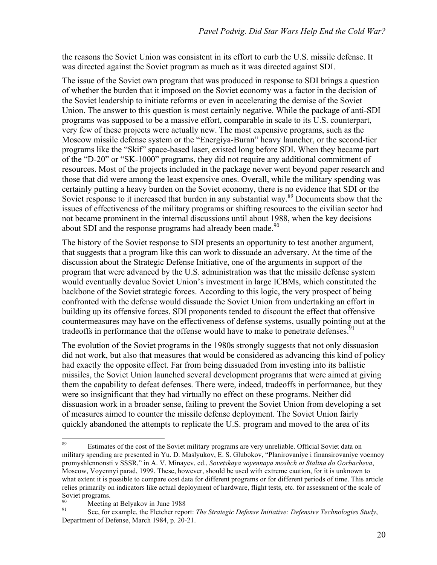the reasons the Soviet Union was consistent in its effort to curb the U.S. missile defense. It was directed against the Soviet program as much as it was directed against SDI.

The issue of the Soviet own program that was produced in response to SDI brings a question of whether the burden that it imposed on the Soviet economy was a factor in the decision of the Soviet leadership to initiate reforms or even in accelerating the demise of the Soviet Union. The answer to this question is most certainly negative. While the package of anti-SDI programs was supposed to be a massive effort, comparable in scale to its U.S. counterpart, very few of these projects were actually new. The most expensive programs, such as the Moscow missile defense system or the "Energiya-Buran" heavy launcher, or the second-tier programs like the "Skif" space-based laser, existed long before SDI. When they became part of the "D-20" or "SK-1000" programs, they did not require any additional commitment of resources. Most of the projects included in the package never went beyond paper research and those that did were among the least expensive ones. Overall, while the military spending was certainly putting a heavy burden on the Soviet economy, there is no evidence that SDI or the Soviet response to it increased that burden in any substantial way.<sup>89</sup> Documents show that the issues of effectiveness of the military programs or shifting resources to the civilian sector had not became prominent in the internal discussions until about 1988, when the key decisions about SDI and the response programs had already been made.<sup>90</sup>

The history of the Soviet response to SDI presents an opportunity to test another argument, that suggests that a program like this can work to dissuade an adversary. At the time of the discussion about the Strategic Defense Initiative, one of the arguments in support of the program that were advanced by the U.S. administration was that the missile defense system would eventually devalue Soviet Union's investment in large ICBMs, which constituted the backbone of the Soviet strategic forces. According to this logic, the very prospect of being confronted with the defense would dissuade the Soviet Union from undertaking an effort in building up its offensive forces. SDI proponents tended to discount the effect that offensive countermeasures may have on the effectiveness of defense systems, usually pointing out at the tradeoffs in performance that the offense would have to make to penetrate defenses.<sup>91</sup>

The evolution of the Soviet programs in the 1980s strongly suggests that not only dissuasion did not work, but also that measures that would be considered as advancing this kind of policy had exactly the opposite effect. Far from being dissuaded from investing into its ballistic missiles, the Soviet Union launched several development programs that were aimed at giving them the capability to defeat defenses. There were, indeed, tradeoffs in performance, but they were so insignificant that they had virtually no effect on these programs. Neither did dissuasion work in a broader sense, failing to prevent the Soviet Union from developing a set of measures aimed to counter the missile defense deployment. The Soviet Union fairly quickly abandoned the attempts to replicate the U.S. program and moved to the area of its

<sup>&</sup>lt;sup>89</sup> Estimates of the cost of the Soviet military programs are very unreliable. Official Soviet data on military spending are presented in Yu. D. Maslyukov, E. S. Glubokov, "Planirovaniye i finansirovaniye voennoy promyshlennonsti v SSSR," in A. V. Minayev, ed., *Sovetskaya voyennaya moshch ot Stalina do Gorbacheva*, Moscow, Voyennyi parad, 1999. These, however, should be used with extreme caution, for it is unknown to what extent it is possible to compare cost data for different programs or for different periods of time. This article relies primarily on indicators like actual deployment of hardware, flight tests, etc. for assessment of the scale of Soviet programs.

<sup>&</sup>lt;sup>90</sup> Meeting at Belyakov in June 1988<br><sup>91</sup> See, for example, the Fletcher report: *The Strategic Defense Initiative: Defensive Technologies Study*, Department of Defense, March 1984, p. 20-21.